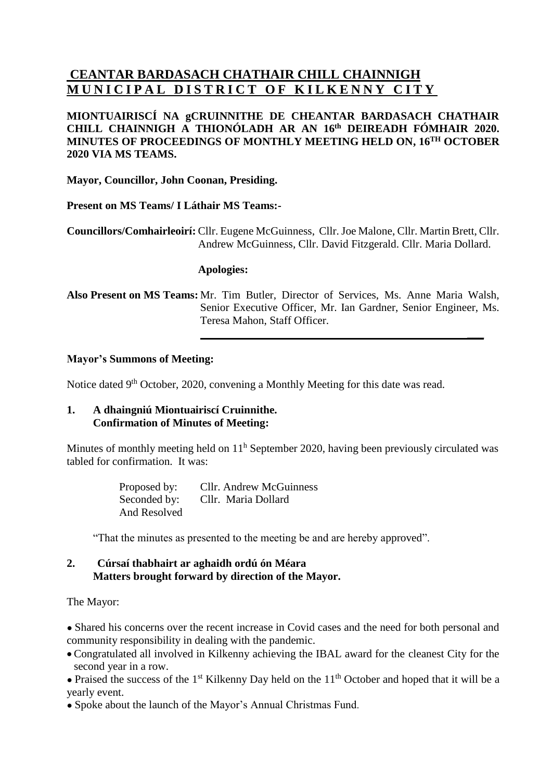## **CEANTAR BARDASACH CHATHAIR CHILL CHAINNIGH MUNICIPAL DISTRICT OF KILKENNY CITY**

### **MIONTUAIRISCÍ NA gCRUINNITHE DE CHEANTAR BARDASACH CHATHAIR CHILL CHAINNIGH A THIONÓLADH AR AN 16 th DEIREADH FÓMHAIR 2020. MINUTES OF PROCEEDINGS OF MONTHLY MEETING HELD ON, 16 TH OCTOBER 2020 VIA MS TEAMS.**

**Mayor, Councillor, John Coonan, Presiding.**

**Present on MS Teams/ I Láthair MS Teams:-**

**Councillors/Comhairleoirí:** Cllr. Eugene McGuinness, Cllr. Joe Malone, Cllr. Martin Brett, Cllr. Andrew McGuinness, Cllr. David Fitzgerald. Cllr. Maria Dollard.

#### **Apologies:**

**Also Present on MS Teams:** Mr. Tim Butler, Director of Services, Ms. Anne Maria Walsh, Senior Executive Officer, Mr. Ian Gardner, Senior Engineer, Ms. Teresa Mahon, Staff Officer.

**\_\_\_**

### **Mayor's Summons of Meeting:**

Notice dated 9<sup>th</sup> October, 2020, convening a Monthly Meeting for this date was read.

### **1. A dhaingniú Miontuairiscí Cruinnithe. Confirmation of Minutes of Meeting:**

Minutes of monthly meeting held on  $11<sup>h</sup>$  September 2020, having been previously circulated was tabled for confirmation. It was:

> Proposed by: Cllr. Andrew McGuinness Seconded by: Cllr. Maria Dollard And Resolved

"That the minutes as presented to the meeting be and are hereby approved".

## **2. Cúrsaí thabhairt ar aghaidh ordú ón Méara Matters brought forward by direction of the Mayor.**

### The Mayor:

● Shared his concerns over the recent increase in Covid cases and the need for both personal and community responsibility in dealing with the pandemic.

• Congratulated all involved in Kilkenny achieving the IBAL award for the cleanest City for the second year in a row.

• Praised the success of the 1<sup>st</sup> Kilkenny Day held on the  $11<sup>th</sup>$  October and hoped that it will be a yearly event.

• Spoke about the launch of the Mayor's Annual Christmas Fund.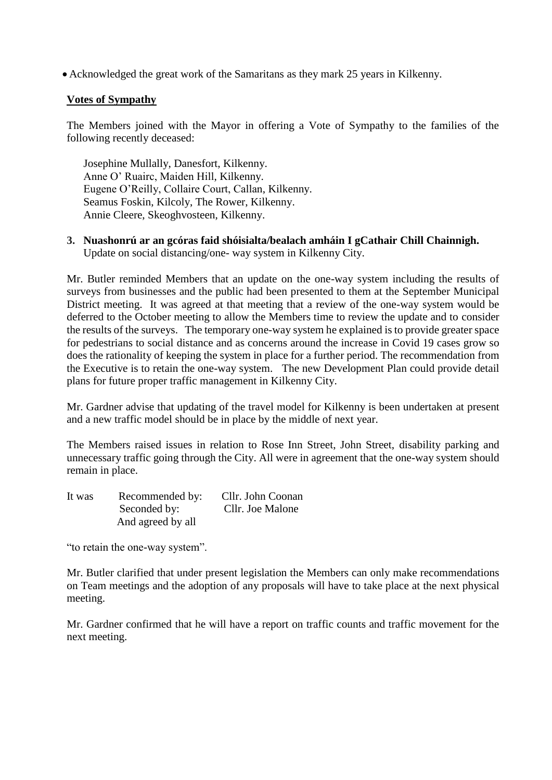• Acknowledged the great work of the Samaritans as they mark 25 years in Kilkenny.

### **Votes of Sympathy**

The Members joined with the Mayor in offering a Vote of Sympathy to the families of the following recently deceased:

Josephine Mullally, Danesfort, Kilkenny. Anne O' Ruairc, Maiden Hill, Kilkenny. Eugene O'Reilly, Collaire Court, Callan, Kilkenny. Seamus Foskin, Kilcoly, The Rower, Kilkenny. Annie Cleere, Skeoghvosteen, Kilkenny.

**3. Nuashonrú ar an gcóras faid shóisialta/bealach amháin I gCathair Chill Chainnigh.** Update on social distancing/one- way system in Kilkenny City.

Mr. Butler reminded Members that an update on the one-way system including the results of surveys from businesses and the public had been presented to them at the September Municipal District meeting. It was agreed at that meeting that a review of the one-way system would be deferred to the October meeting to allow the Members time to review the update and to consider the results of the surveys. The temporary one-way system he explained is to provide greater space for pedestrians to social distance and as concerns around the increase in Covid 19 cases grow so does the rationality of keeping the system in place for a further period. The recommendation from the Executive is to retain the one-way system. The new Development Plan could provide detail plans for future proper traffic management in Kilkenny City.

Mr. Gardner advise that updating of the travel model for Kilkenny is been undertaken at present and a new traffic model should be in place by the middle of next year.

The Members raised issues in relation to Rose Inn Street, John Street, disability parking and unnecessary traffic going through the City. All were in agreement that the one-way system should remain in place.

| It was | Recommended by:   | Cllr. John Coonan |
|--------|-------------------|-------------------|
|        | Seconded by:      | Cllr. Joe Malone  |
|        | And agreed by all |                   |

"to retain the one-way system".

Mr. Butler clarified that under present legislation the Members can only make recommendations on Team meetings and the adoption of any proposals will have to take place at the next physical meeting.

Mr. Gardner confirmed that he will have a report on traffic counts and traffic movement for the next meeting.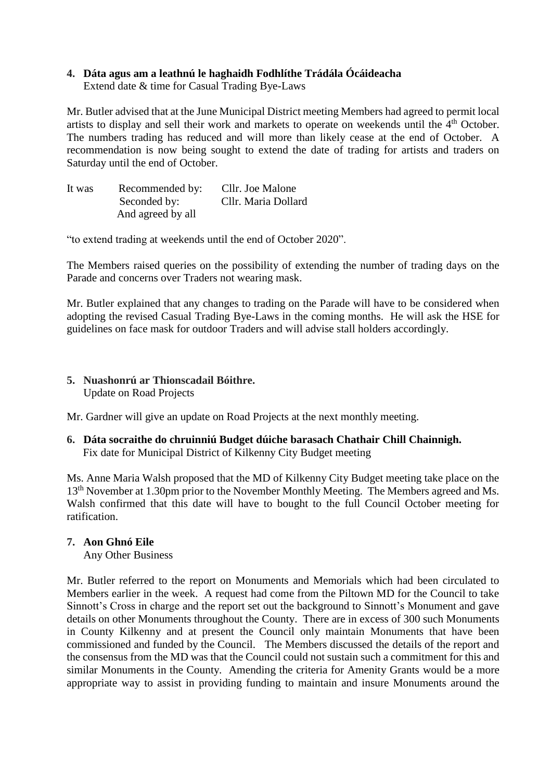# **4. Dáta agus am a leathnú le haghaidh Fodhlíthe Trádála Ócáideacha**

Extend date & time for Casual Trading Bye-Laws

Mr. Butler advised that at the June Municipal District meeting Members had agreed to permit local artists to display and sell their work and markets to operate on weekends until the 4<sup>th</sup> October. The numbers trading has reduced and will more than likely cease at the end of October. A recommendation is now being sought to extend the date of trading for artists and traders on Saturday until the end of October.

| It was | Recommended by:   | Cllr. Joe Malone    |
|--------|-------------------|---------------------|
|        | Seconded by:      | Cllr. Maria Dollard |
|        | And agreed by all |                     |

"to extend trading at weekends until the end of October 2020".

The Members raised queries on the possibility of extending the number of trading days on the Parade and concerns over Traders not wearing mask.

Mr. Butler explained that any changes to trading on the Parade will have to be considered when adopting the revised Casual Trading Bye-Laws in the coming months. He will ask the HSE for guidelines on face mask for outdoor Traders and will advise stall holders accordingly.

### **5. Nuashonrú ar Thionscadail Bóithre.**  Update on Road Projects

Mr. Gardner will give an update on Road Projects at the next monthly meeting.

**6. Dáta socraithe do chruinniú Budget dúiche barasach Chathair Chill Chainnigh.** Fix date for Municipal District of Kilkenny City Budget meeting

Ms. Anne Maria Walsh proposed that the MD of Kilkenny City Budget meeting take place on the 13<sup>th</sup> November at 1.30pm prior to the November Monthly Meeting. The Members agreed and Ms. Walsh confirmed that this date will have to bought to the full Council October meeting for ratification.

## **7. Aon Ghnó Eile**

Any Other Business

Mr. Butler referred to the report on Monuments and Memorials which had been circulated to Members earlier in the week. A request had come from the Piltown MD for the Council to take Sinnott's Cross in charge and the report set out the background to Sinnott's Monument and gave details on other Monuments throughout the County. There are in excess of 300 such Monuments in County Kilkenny and at present the Council only maintain Monuments that have been commissioned and funded by the Council. The Members discussed the details of the report and the consensus from the MD was that the Council could not sustain such a commitment for this and similar Monuments in the County. Amending the criteria for Amenity Grants would be a more appropriate way to assist in providing funding to maintain and insure Monuments around the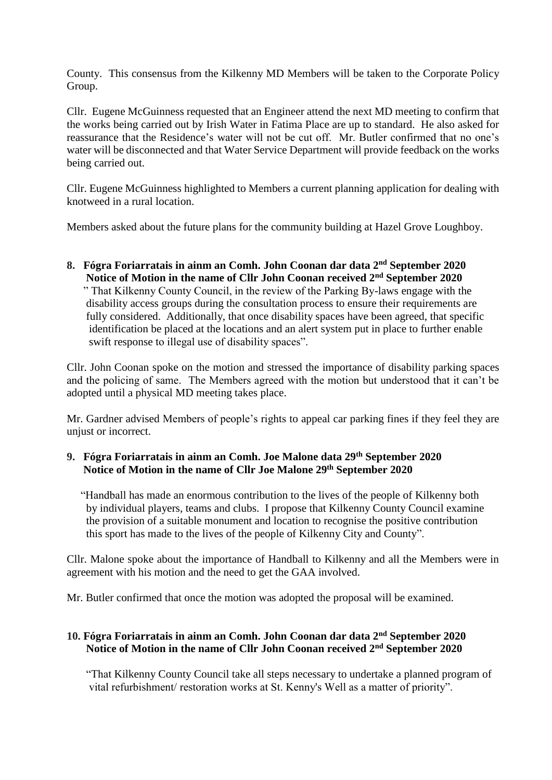County. This consensus from the Kilkenny MD Members will be taken to the Corporate Policy Group.

Cllr. Eugene McGuinness requested that an Engineer attend the next MD meeting to confirm that the works being carried out by Irish Water in Fatima Place are up to standard. He also asked for reassurance that the Residence's water will not be cut off. Mr. Butler confirmed that no one's water will be disconnected and that Water Service Department will provide feedback on the works being carried out.

Cllr. Eugene McGuinness highlighted to Members a current planning application for dealing with knotweed in a rural location.

Members asked about the future plans for the community building at Hazel Grove Loughboy.

**8. Fógra Foriarratais in ainm an Comh. John Coonan dar data 2nd September 2020 Notice of Motion in the name of Cllr John Coonan received 2nd September 2020** " That Kilkenny County Council, in the review of the Parking By-laws engage with the disability access groups during the consultation process to ensure their requirements are fully considered. Additionally, that once disability spaces have been agreed, that specific identification be placed at the locations and an alert system put in place to further enable swift response to illegal use of disability spaces".

Cllr. John Coonan spoke on the motion and stressed the importance of disability parking spaces and the policing of same. The Members agreed with the motion but understood that it can't be adopted until a physical MD meeting takes place.

Mr. Gardner advised Members of people's rights to appeal car parking fines if they feel they are unjust or incorrect.

## **9. Fógra Foriarratais in ainm an Comh. Joe Malone data 29th September 2020 Notice of Motion in the name of Cllr Joe Malone 29 th September 2020**

 "Handball has made an enormous contribution to the lives of the people of Kilkenny both by individual players, teams and clubs. I propose that Kilkenny County Council examine the provision of a suitable monument and location to recognise the positive contribution this sport has made to the lives of the people of Kilkenny City and County".

Cllr. Malone spoke about the importance of Handball to Kilkenny and all the Members were in agreement with his motion and the need to get the GAA involved.

Mr. Butler confirmed that once the motion was adopted the proposal will be examined.

## **10. Fógra Foriarratais in ainm an Comh. John Coonan dar data 2nd September 2020 Notice of Motion in the name of Cllr John Coonan received 2nd September 2020**

 "That Kilkenny County Council take all steps necessary to undertake a planned program of vital refurbishment/ restoration works at St. Kenny's Well as a matter of priority".